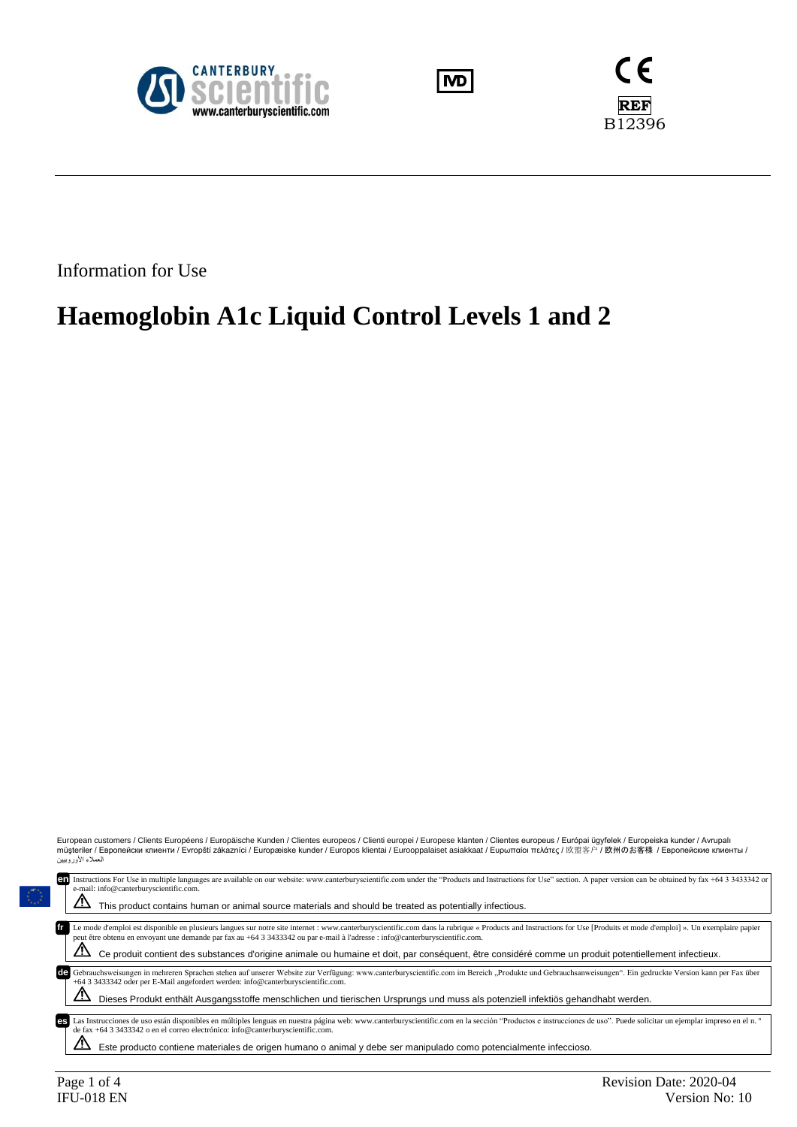





Information for Use

# **Haemoglobin A1c Liquid Control Levels 1 and 2**

European customers / Clients Européens / Europäische Kunden / Clientes europeos / Clienti europei / Europese klanten / Clientes europeus / Európai ügyfelek / Europeiska kunder / Avrupalı<br>müşteriler / Европейски клиенти ے بر .......<br>العملاء الأوروبيين

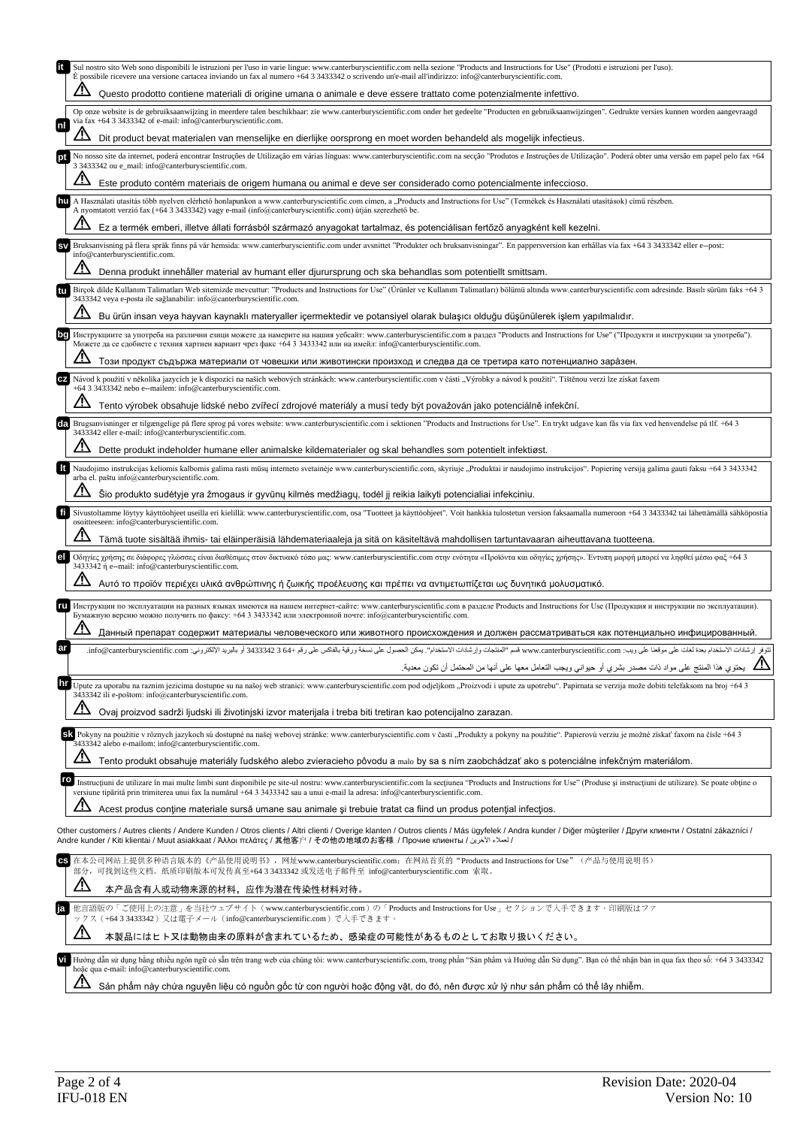|           | Sul nostro sito Web sono disponibili le istruzioni per l'uso in varie lingue: www.canterburyscientific.com nella sezione "Products and Instructions for Use" (Prodotti e istruzioni per l'uso).<br>È possibile ricevere una versione cartacea inviando un fax al numero +64 3 3433342 o scrivendo un'e-mail all'indirizzo: info@canterburyscientific.com.   |
|-----------|-------------------------------------------------------------------------------------------------------------------------------------------------------------------------------------------------------------------------------------------------------------------------------------------------------------------------------------------------------------|
|           | Questo prodotto contiene materiali di origine umana o animale e deve essere trattato come potenzialmente infettivo.                                                                                                                                                                                                                                         |
| Inl       | Op onze website is de gebruiksaanwijzing in meerdere talen beschikbaar: zie www.canterburyscientific.com onder het gedeelte "Producten en gebruiksaanwijzingen". Gedrukte versies kunnen worden aangevraagd<br>via fax +64 3 3433342 of e-mail: info@canterburyscientific.com.                                                                              |
|           | Dit product bevat materialen van menselijke en dierlijke oorsprong en moet worden behandeld als mogelijk infectieus.                                                                                                                                                                                                                                        |
|           | No nosso site da internet, poderá encontrar Instruções de Utilização em várias línguas: www.canterburyscientific.com na secção "Produtos e Instruções de Utilização". Poderá obter uma versão em papel pelo fax +64<br>3 3433342 ou e_mail: info@canterburyscientific.com.                                                                                  |
|           | Este produto contém materiais de origem humana ou animal e deve ser considerado como potencialmente infeccioso.                                                                                                                                                                                                                                             |
|           | A Használati utasítás több nyelven elérhető honlapunkon a www.canterburyscientific.com címen, a "Products and Instructions for Use" (Termékek és Használati utasítások) című részben.<br>A nyomtatott verzió fax (+64 3 3433342) vagy e-mail (info@canterburyscientific.com) útján szerezhető be.                                                           |
|           | Ez a termék emberi, illetve állati forrásból származó anyagokat tartalmaz, és potenciálisan fertőző anyagként kell kezelni.                                                                                                                                                                                                                                 |
|           | Bruksanvisning på flera språk finns på vår hemsida: www.canterburyscientific.com under avsnittet "Produkter och bruksanvisningar". En pappersversion kan erhållas via fax +64 3 3433342 eller e--post:<br>info@canterburyscientific.com.                                                                                                                    |
|           | Denna produkt innehåller material av humant eller djurursprung och ska behandlas som potentiellt smittsam.                                                                                                                                                                                                                                                  |
|           | Birçok dilde Kullanım Talimatları Web sitemizde mevcuttur: "Products and Instructions for Use" (Urünler ve Kullanım Talimatları) bölümü altında www.canterburyscientific.com adresinde. Basılı sürüm faks +64 3<br>3433342 veya e-posta ile sağlanabilir: info@canterburyscientific.com.                                                                    |
|           | Bu ürün insan veya hayvan kaynaklı materyaller içermektedir ve potansiyel olarak bulaşıcı olduğu düşünülerek işlem yapılmalıdır.                                                                                                                                                                                                                            |
|           | Инструкциите за употреба на различни езици можете да намерите на нашия уебсайт: www.canterburyscientific.com в раздел "Products and Instructions for Use" ("Продукти и инструкции за употреба").<br>Можете да се сдобиете с техния хартиен вариант чрез факс +64 3 3433342 или на имейл: info@canterburyscientific.com.                                     |
|           | Този продукт съдържа материали от човешки или животински произход и следва да се третира като потенциално зара̀зен.                                                                                                                                                                                                                                         |
|           | Návod k použití v několika jazycích je k dispozici na našich webových stránkách: www.canterburyscientific.com v části "Výrobky a návod k použití". Tištěnou verzi lze získat faxem<br>+64 3 3433342 nebo e--mailem: info@canterburyscientific.com.                                                                                                          |
|           | Tento výrobek obsahuje lidské nebo zvířecí zdrojové materiály a musí tedy být považován jako potenciálně infekční.                                                                                                                                                                                                                                          |
|           | Le Brugsanvisninger er tilgængelige på flere sprog på vores website: www.canterburyscientific.com i sektionen "Products and Instructions for Use". En trykt udgave kan fås via fax ved henvendelse på tlf. +64 3<br>3433342 eller e-mail: info@canterburyscientific.com.                                                                                    |
|           | Dette produkt indeholder humane eller animalske kildematerialer og skal behandles som potentielt infektiøst.                                                                                                                                                                                                                                                |
| It        | Naudojimo instrukcijas keliomis kalbomis galima rasti mūsų interneto svetainėje www.canterburyscientific.com, skyriuje "Produktai ir naudojimo instrukcijos". Popierinę versiją galima gauti faksu +64 3 343342<br>arba el. paštu info@canterburyscientific.com.                                                                                            |
|           | Šio produkto sudėtyje yra žmogaus ir gyvūnų kilmės medžiagų, todėl jį reikia laikyti potencialiai infekciniu.                                                                                                                                                                                                                                               |
| fī        | Sivustoltamme löytyy käyttöohjeet useilla eri kielillä: www.canterburyscientific.com, osa "Tuotteet ja käyttöohjeet". Voit hankkia tulostetun version faksaamalla numeroon +64 3 3433342 tai lähettämällä sähköpostia<br>osoitteeseen: info@canterburyscientific.com.                                                                                       |
|           | Tämä tuote sisältää ihmis- tai eläinperäisiä lähdemateriaaleja ja sitä on käsiteltävä mahdollisen tartuntavaaran aiheuttavana tuotteena.                                                                                                                                                                                                                    |
|           |                                                                                                                                                                                                                                                                                                                                                             |
|           | Οδηγίες χρήσης σε διάφορες γλώσσες είναι διαθέσιμες στον δικτυακό τόπο μας: www.canterburyscientific.com στην ενότητα «Προϊόντα και οδηγίες χρήσης». Έντυπη μορφή μπορεί να ληφθεί μέσω φαξ +64 3<br>3433342 ή e--mail: info@canterburyscientific.com.                                                                                                      |
|           | Αυτό το προϊόν περιέχει υλικά ανθρώπινης ή ζωικής προέλευσης και πρέπει να αντιμετωπίζεται ως δυνητικά μολυσματικό.                                                                                                                                                                                                                                         |
|           | Инструкции по эксплуатации на разных языках имеются на нашем интернет-сайте: www.canterburyscientific.com в разделе Products and Instructions for Use (Продукция и инструкции по эксплуатации).<br>Бумажную версию можно получить по факсу: +64 3 3433342 или электронной почте: info@canterburyscientific.com.                                             |
|           | Данный препарат содержит материалы человеческого или животного происхождения и должен рассматриваться как потенциально инфицированный.                                                                                                                                                                                                                      |
|           | تثوفر إرشادات الاستخدام بعدة لغات على موقعنا على ويب: www.canterburyscientific.com فسم "المنتجات وإرشادات الاستخدام". يمكن الحصول على نسخة ورقية بالفاكس على رقم +64 3433342 أو بالبريد الإلكتروني: info@canterburyscientific                                                                                                                               |
|           | يحتوي هذا المنتج على مواد ذات مصدر بشري أو حيواني ويجب التعامل معها على أنها من المحتمل أن تكون معدية.                                                                                                                                                                                                                                                      |
|           | Upute za uporabu na raznim jezicima dostupne su na našoj web stranici: www.canterburyscientific.com pod odjeljkom "Proizvodi i upute za upotrebu". Papirnata se verzija može dobiti telefaksom na broj +64 3<br>3433342 ili e-poštom: info@canterburyscientific.com.                                                                                        |
|           | Ovaj proizvod sadrži ljudski ili životinjski izvor materijala i treba biti tretiran kao potencijalno zarazan.                                                                                                                                                                                                                                               |
|           | Sk Pokyny na použitie v rôznych jazykoch sú dostupné na našej webovej stránke: www.canterburyscientific.com v časti "Produkty a pokyny na použitie". Papierovú verziu je možné získať faxom na čísle +64 3<br>3433342 alebo e-mailom: info@canterburyscientific.com.                                                                                        |
|           | Tento produkt obsahuje materiály ľudského alebo zvieracieho pôvodu a malo by sa s ním zaobchádzať ako s potenciálne infekčným materiálom.                                                                                                                                                                                                                   |
| ro        | Instrucțiuni de utilizare în mai multe limbi sunt disponibile pe site-ul nostru: www.canterburyscientific.com la secțiunea "Products and Instructions for Use" (Produse și instrucțiuni de utilizare). Se poate obține o<br>versiune tipărită prin trimiterea unui fax la numărul +64 3 3433342 sau a unui e-mail la adresa: info@canterburyscientific.com. |
|           | Acest produs contine materiale sursă umane sau animale și trebuie tratat ca fiind un produs potențial infecțios.                                                                                                                                                                                                                                            |
|           | Other customers / Autres clients / Andere Kunden / Otros clients / Altri clienti / Overige klanten / Outros clients / Más ügyfelek / Andra kunder / Diğer müşteriler / Други клиенти / Ostatní zákazníci /<br>Аndre kunder / Кiti klientai / Мuut asiakkaat / Άλλοι πελάτες / 其他客户 / その他の地域のお客様 / Прочие клиенты / لعملاء الأخرين                           |
| <b>CS</b> | 在本公司网站上提供多种语言版本的《产品使用说明书》,网址www.canterburyscientific.com; 在网站首页的"Products and Instructions for Use"(产品与使用说明书)                                                                                                                                                                                                                                               |
|           | 部分,可找到这些文档。纸质印刷版本可发传真至+64 3 3433342 或发送电子邮件至 info@canterburyscientific.com 索取。<br>本产品含有人或动物来源的材料,应作为潜在传染性材料对待。                                                                                                                                                                                                                                              |
| Ja        | 他言語版の「ご使用上の注意」を当社ウェブサイト (www.canterburyscientific.com)の「Products and Instructions for Use」セクションで入手できます。印刷版はファ                                                                                                                                                                                                                                               |
|           | ックス(+64 3 3433342)又は電子メール(info@canterburyscientific.com)で入手できます。                                                                                                                                                                                                                                                                                            |
|           | 本製品にはヒト又は動物由来の原料が含まれているため、感染症の可能性があるものとしてお取り扱いください。                                                                                                                                                                                                                                                                                                         |
| M         | Hướng dẫn sử dụng bằng nhiều ngôn ngữ có sẵn trên trang web của chúng tôi: www.canterburyscientific.com, trong phần "Sản phẩm và Hướng dẫn Sử dụng". Bạn có thể nhận bản in qua fax theo số: +64 3 3433342<br>hoặc qua e-mail: info@canterburyscientific.com.                                                                                               |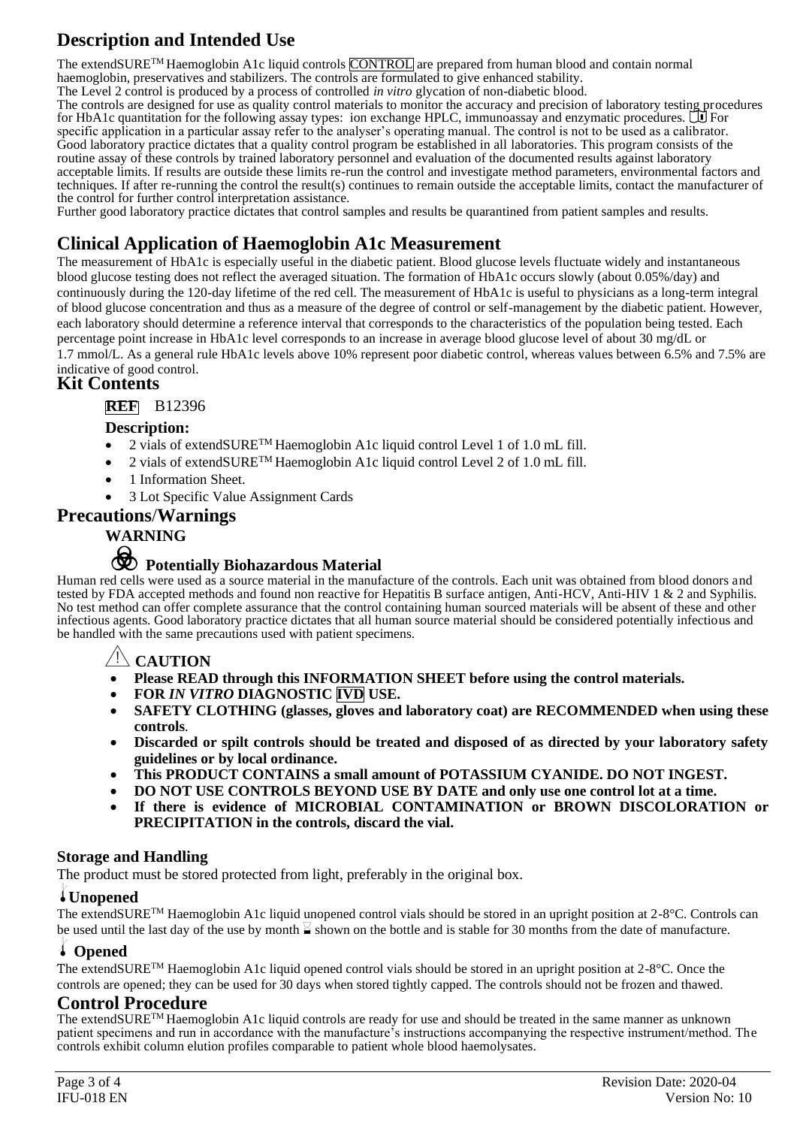## **Description and Intended Use**

The extendSURE<sup>TM</sup> Haemoglobin A1c liquid controls CONTROL are prepared from human blood and contain normal haemoglobin, preservatives and stabilizers. The controls are formulated to give enhanced stability. The Level 2 control is produced by a process of controlled *in vitro* glycation of non-diabetic blood.

The controls are designed for use as quality control materials to monitor the accuracy and precision of laboratory testing procedures for HbA1c quantitation for the following assay types: ion exchange HPLC, immunoassay and enzymatic procedures.  $\Box$  For specific application in a particular assay refer to the analyser's operating manual. The control is not to be used as a calibrator. Good laboratory practice dictates that a quality control program be established in all laboratories. This program consists of the routine assay of these controls by trained laboratory personnel and evaluation of the documented results against laboratory acceptable limits. If results are outside these limits re-run the control and investigate method parameters, environmental factors and techniques. If after re-running the control the result(s) continues to remain outside the acceptable limits, contact the manufacturer of the control for further control interpretation assistance.

Further good laboratory practice dictates that control samples and results be quarantined from patient samples and results.

### **Clinical Application of Haemoglobin A1c Measurement**

The measurement of HbA1c is especially useful in the diabetic patient. Blood glucose levels fluctuate widely and instantaneous blood glucose testing does not reflect the averaged situation. The formation of HbA1c occurs slowly (about 0.05%/day) and continuously during the 120-day lifetime of the red cell. The measurement of HbA1c is useful to physicians as a long-term integral of blood glucose concentration and thus as a measure of the degree of control or self-management by the diabetic patient. However, each laboratory should determine a reference interval that corresponds to the characteristics of the population being tested. Each percentage point increase in HbA1c level corresponds to an increase in average blood glucose level of about 30 mg/dL or 1.7 mmol/L. As a general rule HbA1c levels above 10% represent poor diabetic control, whereas values between 6.5% and 7.5% are

### indicative of good control.

### **Kit Contents**

### **REF** B12396

### **Description:**

- 2 vials of extendSURE™ Haemoglobin A1c liquid control Level 1 of 1.0 mL fill.
- 2 vials of extendSURE<sup>TM</sup> Haemoglobin A1c liquid control Level 2 of 1.0 mL fill.
- 1 Information Sheet.
- 3 Lot Specific Value Assignment Cards

### **Precautions**/**Warnings**

### **WARNING**

# F **Potentially Biohazardous Material**

Human red cells were used as a source material in the manufacture of the controls. Each unit was obtained from blood donors and tested by FDA accepted methods and found non reactive for Hepatitis B surface antigen, Anti-HCV, Anti-HIV 1 & 2 and Syphilis. No test method can offer complete assurance that the control containing human sourced materials will be absent of these and other infectious agents. Good laboratory practice dictates that all human source material should be considered potentially infectious and be handled with the same precautions used with patient specimens.

### Y**CAUTION**

- **Please READ through this INFORMATION SHEET before using the control materials.**
- **FOR** *IN VITRO* **DIAGNOSTIC IVD USE.**
- **SAFETY CLOTHING (glasses, gloves and laboratory coat) are RECOMMENDED when using these controls***.*
- **Discarded or spilt controls should be treated and disposed of as directed by your laboratory safety guidelines or by local ordinance.**
- **This PRODUCT CONTAINS a small amount of POTASSIUM CYANIDE. DO NOT INGEST.**
- **DO NOT USE CONTROLS BEYOND USE BY DATE and only use one control lot at a time.**
- **If there is evidence of MICROBIAL CONTAMINATION or BROWN DISCOLORATION or PRECIPITATION in the controls, discard the vial.**

### **Storage and Handling**

The product must be stored protected from light, preferably in the original box.

### l**Unopened**

The extendSURETM Haemoglobin A1c liquid unopened control vials should be stored in an upright position at 2-8°C. Controls can be used until the last day of the use by month  $\leq$  shown on the bottle and is stable for 30 months from the date of manufacture.

### l **Opened**

The extendSURETM Haemoglobin A1c liquid opened control vials should be stored in an upright position at 2-8°C. Once the controls are opened; they can be used for 30 days when stored tightly capped. The controls should not be frozen and thawed.

### **Control Procedure**

The extendSURETM Haemoglobin A1c liquid controls are ready for use and should be treated in the same manner as unknown patient specimens and run in accordance with the manufacture's instructions accompanying the respective instrument/method. The controls exhibit column elution profiles comparable to patient whole blood haemolysates.